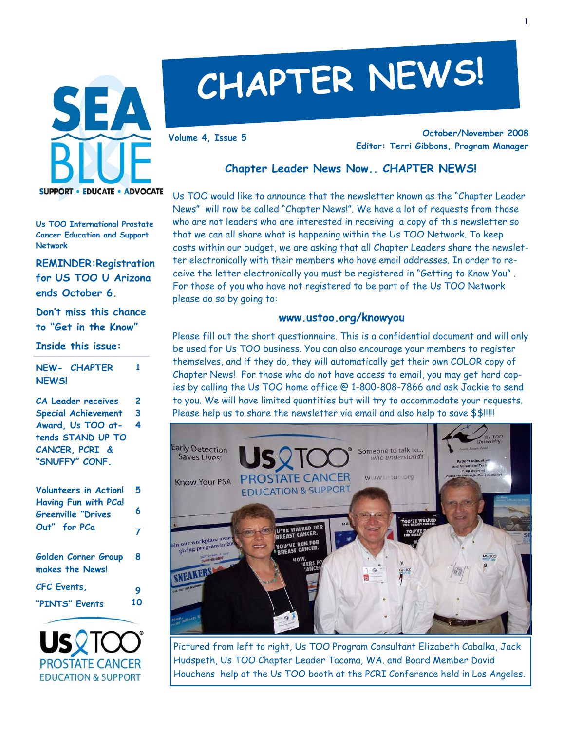

# **CHAPTER NEWS!**

**October/November 2008 Editor: Terri Gibbons, Program Manager Volume 4, Issue 5** 

## **Chapter Leader News Now.. CHAPTER NEWS!**

Us TOO would like to announce that the newsletter known as the "Chapter Leader News" will now be called "Chapter News!". We have a lot of requests from those who are not leaders who are interested in receiving a copy of this newsletter so that we can all share what is happening within the Us TOO Network. To keep costs within our budget, we are asking that all Chapter Leaders share the newsletter electronically with their members who have email addresses. In order to receive the letter electronically you must be registered in "Getting to Know You" . For those of you who have not registered to be part of the Us TOO Network please do so by going to:

#### **www.ustoo.org/knowyou**

Please fill out the short questionnaire. This is a confidential document and will only be used for Us TOO business. You can also encourage your members to register themselves, and if they do, they will automatically get their own COLOR copy of Chapter News! For those who do not have access to email, you may get hard copies by calling the Us TOO home office @ 1-800-808-7866 and ask Jackie to send to you. We will have limited quantities but will try to accommodate your requests. Please help us to share the newsletter via email and also help to save \$\$!!!!!



Pictured from left to right, Us TOO Program Consultant Elizabeth Cabalka, Jack Hudspeth, Us TOO Chapter Leader Tacoma, WA. and Board Member David Houchens help at the Us TOO booth at the PCRI Conference held in Los Angeles.

**Us TOO International Prostate Cancer Education and Support Network** 

**REMINDER:Registration for US TOO U Arizona ends October 6.** 

**Don't miss this chance to "Get in the Know"** 

#### **Inside this issue:**

**NEW- CHAPTER NEWS! 1** 

**CA Leader receives Special Achievement Award, Us TOO attends STAND UP TO CANCER, PCRI & "SNUFFY" CONF. 2 3 4** 

| <b>Volunteers in Action!</b>                      | 5  |
|---------------------------------------------------|----|
| Having Fun with PCa!<br><b>Greenville "Drives</b> | 6  |
| Out" for PCa                                      | 7  |
| Golden Corner Group<br>makes the News!            | 8  |
| CFC Events,                                       | 9  |
| "PINTS" Events                                    | 10 |

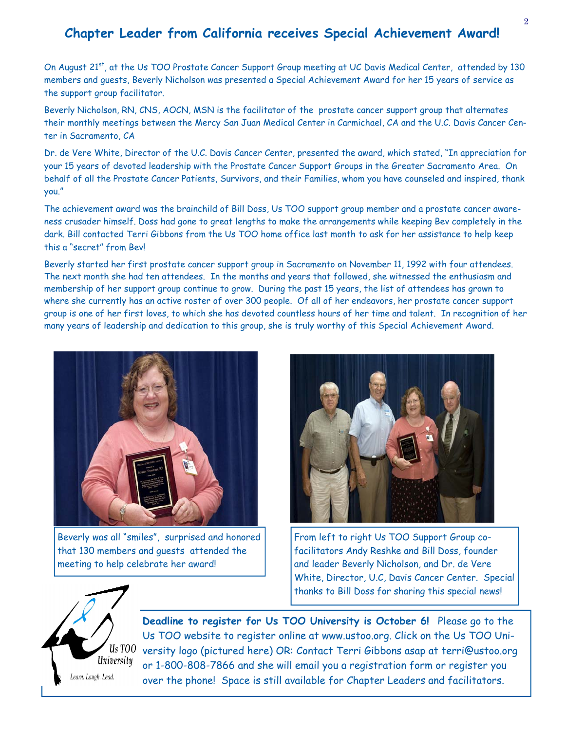# **Chapter Leader from California receives Special Achievement Award!**

On August 21<sup>st</sup>, at the Us TOO Prostate Cancer Support Group meeting at UC Davis Medical Center, attended by 130 members and guests, Beverly Nicholson was presented a Special Achievement Award for her 15 years of service as the support group facilitator.

Beverly Nicholson, RN, CNS, AOCN, MSN is the facilitator of the prostate cancer support group that alternates their monthly meetings between the Mercy San Juan Medical Center in Carmichael, CA and the U.C. Davis Cancer Center in Sacramento, CA

Dr. de Vere White, Director of the U.C. Davis Cancer Center, presented the award, which stated, "In appreciation for your 15 years of devoted leadership with the Prostate Cancer Support Groups in the Greater Sacramento Area. On behalf of all the Prostate Cancer Patients, Survivors, and their Families, whom you have counseled and inspired, thank you."

The achievement award was the brainchild of Bill Doss, Us TOO support group member and a prostate cancer awareness crusader himself. Doss had gone to great lengths to make the arrangements while keeping Bev completely in the dark. Bill contacted Terri Gibbons from the Us TOO home office last month to ask for her assistance to help keep this a "secret" from Bev!

Beverly started her first prostate cancer support group in Sacramento on November 11, 1992 with four attendees. The next month she had ten attendees. In the months and years that followed, she witnessed the enthusiasm and membership of her support group continue to grow. During the past 15 years, the list of attendees has grown to where she currently has an active roster of over 300 people. Of all of her endeavors, her prostate cancer support group is one of her first loves, to which she has devoted countless hours of her time and talent. In recognition of her many years of leadership and dedication to this group, she is truly worthy of this Special Achievement Award.



Beverly was all "smiles", surprised and honored that 130 members and guests attended the meeting to help celebrate her award!



From left to right Us TOO Support Group cofacilitators Andy Reshke and Bill Doss, founder and leader Beverly Nicholson, and Dr. de Vere White, Director, U.C, Davis Cancer Center. Special thanks to Bill Doss for sharing this special news!



**Deadline to register for Us TOO University is October 6!** Please go to the Us TOO website to register online at www.ustoo.org. Click on the Us TOO University logo (pictured here) OR: Contact Terri Gibbons asap at terri@ustoo.org or 1-800-808-7866 and she will email you a registration form or register you over the phone! Space is still available for Chapter Leaders and facilitators.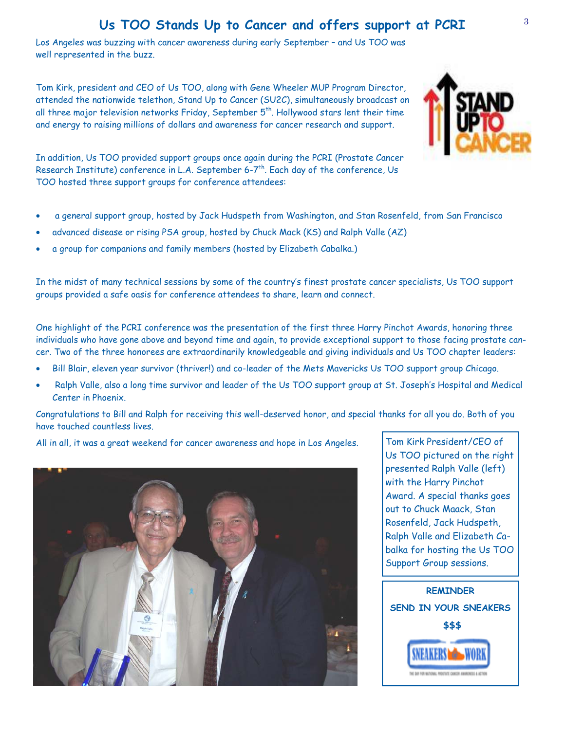# **Us TOO Stands Up to Cancer and offers support at PCRI**

Los Angeles was buzzing with cancer awareness during early September – and Us TOO was well represented in the buzz.

Tom Kirk, president and CEO of Us TOO, along with Gene Wheeler MUP Program Director, attended the nationwide telethon, Stand Up to Cancer (SU2C), simultaneously broadcast on all three major television networks Friday, September  $5^{th}$ . Hollywood stars lent their time and energy to raising millions of dollars and awareness for cancer research and support.

In addition, Us TOO provided support groups once again during the PCRI (Prostate Cancer Research Institute) conference in L.A. September 6-7<sup>th</sup>. Each day of the conference, Us TOO hosted three support groups for conference attendees:

- a general support group, hosted by Jack Hudspeth from Washington, and Stan Rosenfeld, from San Francisco
- advanced disease or rising PSA group, hosted by Chuck Mack (KS) and Ralph Valle (AZ)
- a group for companions and family members (hosted by Elizabeth Cabalka.)

In the midst of many technical sessions by some of the country's finest prostate cancer specialists, Us TOO support groups provided a safe oasis for conference attendees to share, learn and connect.

One highlight of the PCRI conference was the presentation of the first three Harry Pinchot Awards, honoring three individuals who have gone above and beyond time and again, to provide exceptional support to those facing prostate cancer. Two of the three honorees are extraordinarily knowledgeable and giving individuals and Us TOO chapter leaders:

- Bill Blair, eleven year survivor (thriver!) and co-leader of the Mets Mavericks Us TOO support group Chicago.
- Ralph Valle, also a long time survivor and leader of the Us TOO support group at St. Joseph's Hospital and Medical Center in Phoenix.

Congratulations to Bill and Ralph for receiving this well-deserved honor, and special thanks for all you do. Both of you have touched countless lives.

All in all, it was a great weekend for cancer awareness and hope in Los Angeles.



Tom Kirk President/CEO of Us TOO pictured on the right presented Ralph Valle (left) with the Harry Pinchot Award. A special thanks goes out to Chuck Maack, Stan Rosenfeld, Jack Hudspeth, Ralph Valle and Elizabeth Cabalka for hosting the Us TOO Support Group sessions.



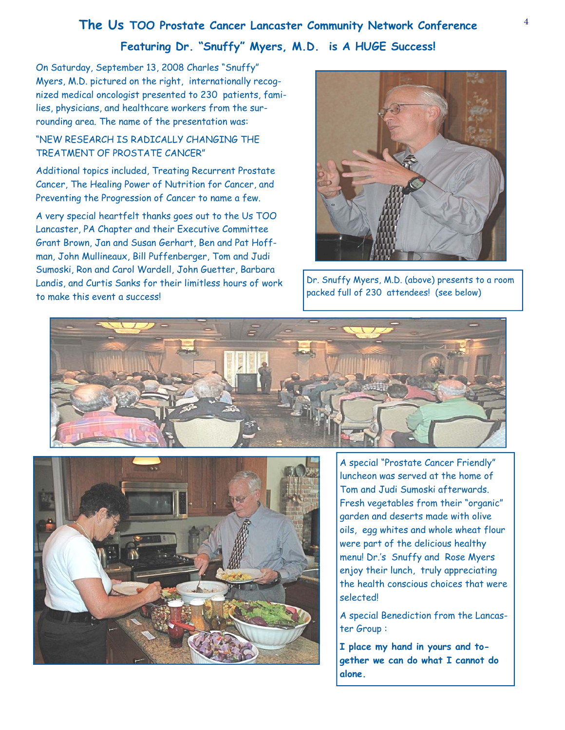# <sup>4</sup>**The Us TOO Prostate Cancer Lancaster Community Network Conference**

### **Featuring Dr. "Snuffy" Myers, M.D. is A HUGE Success!**

On Saturday, September 13, 2008 Charles "Snuffy" Myers, M.D. pictured on the right, internationally recognized medical oncologist presented to 230 patients, families, physicians, and healthcare workers from the surrounding area. The name of the presentation was:

#### "NEW RESEARCH IS RADICALLY CHANGING THE TREATMENT OF PROSTATE CANCER"

Additional topics included, Treating Recurrent Prostate Cancer, The Healing Power of Nutrition for Cancer, and Preventing the Progression of Cancer to name a few.

A very special heartfelt thanks goes out to the Us TOO Lancaster, PA Chapter and their Executive Committee Grant Brown, Jan and Susan Gerhart, Ben and Pat Hoffman, John Mullineaux, Bill Puffenberger, Tom and Judi Sumoski, Ron and Carol Wardell, John Guetter, Barbara Landis, and Curtis Sanks for their limitless hours of work to make this event a success!



Dr. Snuffy Myers, M.D. (above) presents to a room packed full of 230 attendees! (see below)





A special "Prostate Cancer Friendly" luncheon was served at the home of Tom and Judi Sumoski afterwards. Fresh vegetables from their "organic" garden and deserts made with olive oils, egg whites and whole wheat flour were part of the delicious healthy menu! Dr.'s Snuffy and Rose Myers enjoy their lunch, truly appreciating the health conscious choices that were selected!

A special Benediction from the Lancaster Group :

**I place my hand in yours and together we can do what I cannot do alone.**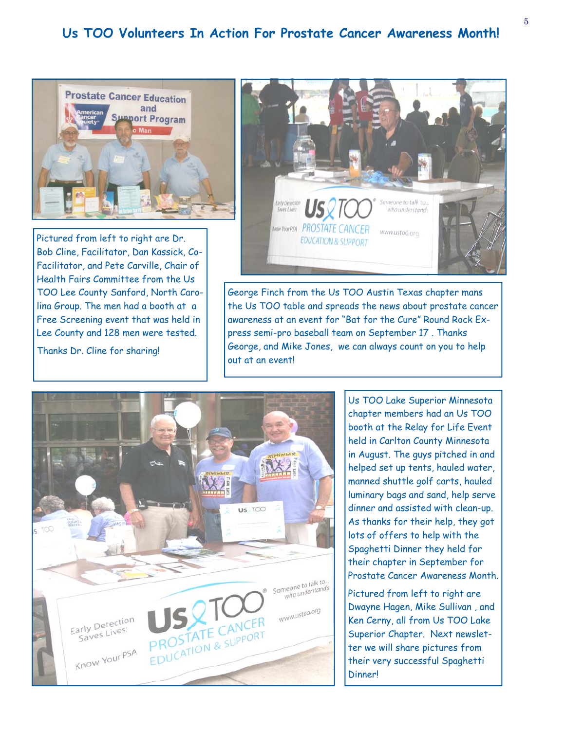# **Us TOO Volunteers In Action For Prostate Cancer Awareness Month!**



Pictured from left to right are Dr. Bob Cline, Facilitator, Dan Kassick, Co-Facilitator, and Pete Carville, Chair of Health Fairs Committee from the Us TOO Lee County Sanford, North Carolina Group. The men had a booth at a Free Screening event that was held in Lee County and 128 men were tested.

Thanks Dr. Cline for sharing!



George Finch from the Us TOO Austin Texas chapter mans the Us TOO table and spreads the news about prostate cancer awareness at an event for "Bat for the Cure" Round Rock Express semi-pro baseball team on September 17 . Thanks George, and Mike Jones, we can always count on you to help out at an event!



Us TOO Lake Superior Minnesota chapter members had an Us TOO booth at the Relay for Life Event held in Carlton County Minnesota in August. The guys pitched in and helped set up tents, hauled water, manned shuttle golf carts, hauled luminary bags and sand, help serve dinner and assisted with clean-up. As thanks for their help, they got lots of offers to help with the Spaghetti Dinner they held for their chapter in September for Prostate Cancer Awareness Month.

Pictured from left to right are Dwayne Hagen, Mike Sullivan , and Ken Cerny, all from Us TOO Lake Superior Chapter. Next newsletter we will share pictures from their very successful Spaghetti Dinner!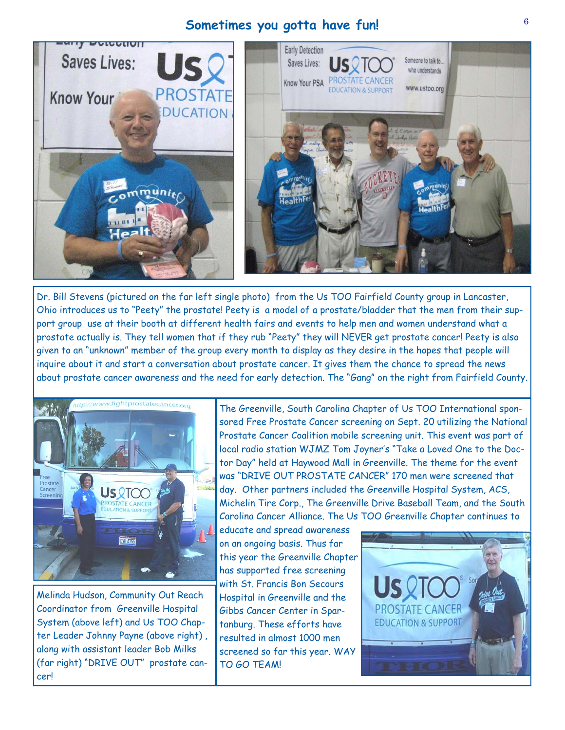## <sup>6</sup>**Sometimes you gotta have fun!**



Dr. Bill Stevens (pictured on the far left single photo) from the Us TOO Fairfield County group in Lancaster, Ohio introduces us to "Peety" the prostate! Peety is a model of a prostate/bladder that the men from their support group use at their booth at different health fairs and events to help men and women understand what a prostate actually is. They tell women that if they rub "Peety" they will NEVER get prostate cancer! Peety is also given to an "unknown" member of the group every month to display as they desire in the hopes that people will inquire about it and start a conversation about prostate cancer. It gives them the chance to spread the news about prostate cancer awareness and the need for early detection. The "Gang" on the right from Fairfield County.



Melinda Hudson, Community Out Reach Coordinator from Greenville Hospital System (above left) and Us TOO Chapter Leader Johnny Payne (above right) , along with assistant leader Bob Milks (far right) "DRIVE OUT" prostate cancer!

The Greenville, South Carolina Chapter of Us TOO International sponsored Free Prostate Cancer screening on Sept. 20 utilizing the National Prostate Cancer Coalition mobile screening unit. This event was part of local radio station WJMZ Tom Joyner's "Take a Loved One to the Doctor Day" held at Haywood Mall in Greenville. The theme for the event was "DRIVE OUT PROSTATE CANCER" 170 men were screened that day. Other partners included the Greenville Hospital System, ACS, Michelin Tire Corp., The Greenville Drive Baseball Team, and the South Carolina Cancer Alliance. The Us TOO Greenville Chapter continues to

educate and spread awareness on an ongoing basis. Thus far this year the Greenville Chapter has supported free screening with St. Francis Bon Secours Hospital in Greenville and the Gibbs Cancer Center in Spartanburg. These efforts have resulted in almost 1000 men screened so far this year. WAY TO GO TEAM!

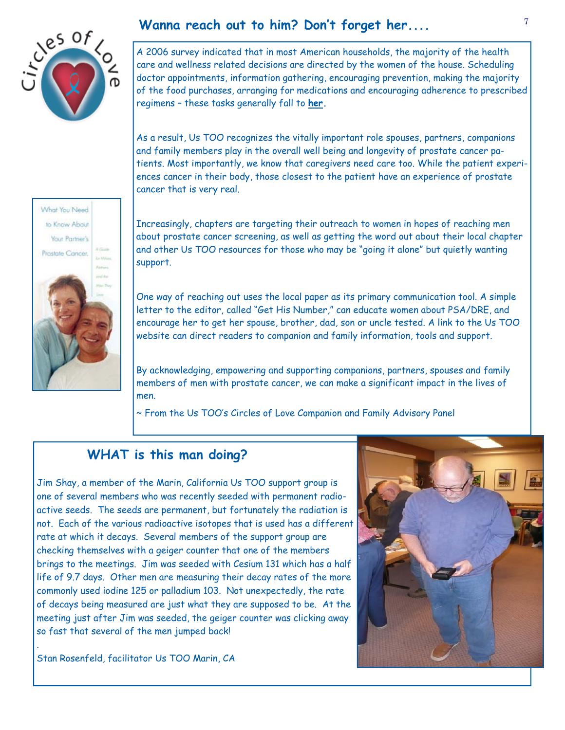

# **Wanna reach out to him? Don't forget her....** <sup>7</sup>

A 2006 survey indicated that in most American households, the majority of the health care and wellness related decisions are directed by the women of the house. Scheduling doctor appointments, information gathering, encouraging prevention, making the majority of the food purchases, arranging for medications and encouraging adherence to prescribed regimens – these tasks generally fall to **her.**

As a result, Us TOO recognizes the vitally important role spouses, partners, companions and family members play in the overall well being and longevity of prostate cancer patients. Most importantly, we know that caregivers need care too. While the patient experiences cancer in their body, those closest to the patient have an experience of prostate cancer that is very real.

Increasingly, chapters are targeting their outreach to women in hopes of reaching men about prostate cancer screening, as well as getting the word out about their local chapter and other Us TOO resources for those who may be "going it alone" but quietly wanting support.

One way of reaching out uses the local paper as its primary communication tool. A simple letter to the editor, called "Get His Number," can educate women about PSA/DRE, and encourage her to get her spouse, brother, dad, son or uncle tested. A link to the Us TOO website can direct readers to companion and family information, tools and support.

By acknowledging, empowering and supporting companions, partners, spouses and family members of men with prostate cancer, we can make a significant impact in the lives of men.

~ From the Us TOO's Circles of Love Companion and Family Advisory Panel

# **WHAT is this man doing?**

Jim Shay, a member of the Marin, California Us TOO support group is one of several members who was recently seeded with permanent radioactive seeds. The seeds are permanent, but fortunately the radiation is not. Each of the various radioactive isotopes that is used has a different rate at which it decays. Several members of the support group are checking themselves with a geiger counter that one of the members brings to the meetings. Jim was seeded with Cesium 131 which has a half life of 9.7 days. Other men are measuring their decay rates of the more commonly used iodine 125 or palladium 103. Not unexpectedly, the rate of decays being measured are just what they are supposed to be. At the meeting just after Jim was seeded, the geiger counter was clicking away so fast that several of the men jumped back!



Stan Rosenfeld, facilitator Us TOO Marin, CA

.

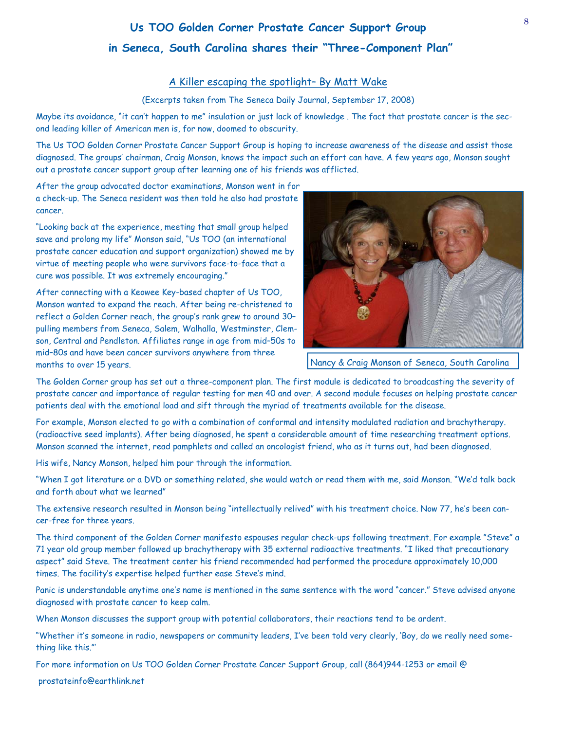# **Us TOO Golden Corner Prostate Cancer Support Group in Seneca, South Carolina shares their "Three-Component Plan"**

#### A Killer escaping the spotlight– By Matt Wake

#### (Excerpts taken from The Seneca Daily Journal, September 17, 2008)

Maybe its avoidance, "it can't happen to me" insulation or just lack of knowledge . The fact that prostate cancer is the second leading killer of American men is, for now, doomed to obscurity.

The Us TOO Golden Corner Prostate Cancer Support Group is hoping to increase awareness of the disease and assist those diagnosed. The groups' chairman, Craig Monson, knows the impact such an effort can have. A few years ago, Monson sought out a prostate cancer support group after learning one of his friends was afflicted.

After the group advocated doctor examinations, Monson went in for a check-up. The Seneca resident was then told he also had prostate cancer.

"Looking back at the experience, meeting that small group helped save and prolong my life" Monson said, "Us TOO (an international prostate cancer education and support organization) showed me by virtue of meeting people who were survivors face-to-face that a cure was possible. It was extremely encouraging."

After connecting with a Keowee Key-based chapter of Us TOO, Monson wanted to expand the reach. After being re-christened to reflect a Golden Corner reach, the group's rank grew to around 30– pulling members from Seneca, Salem, Walhalla, Westminster, Clemson, Central and Pendleton. Affiliates range in age from mid–50s to mid–80s and have been cancer survivors anywhere from three months to over 15 years.



Nancy & Craig Monson of Seneca, South Carolina

The Golden Corner group has set out a three-component plan. The first module is dedicated to broadcasting the severity of prostate cancer and importance of regular testing for men 40 and over. A second module focuses on helping prostate cancer patients deal with the emotional load and sift through the myriad of treatments available for the disease.

For example, Monson elected to go with a combination of conformal and intensity modulated radiation and brachytherapy. (radioactive seed implants). After being diagnosed, he spent a considerable amount of time researching treatment options. Monson scanned the internet, read pamphlets and called an oncologist friend, who as it turns out, had been diagnosed.

His wife, Nancy Monson, helped him pour through the information.

"When I got literature or a DVD or something related, she would watch or read them with me, said Monson. "We'd talk back and forth about what we learned"

The extensive research resulted in Monson being "intellectually relived" with his treatment choice. Now 77, he's been cancer-free for three years.

The third component of the Golden Corner manifesto espouses regular check-ups following treatment. For example "Steve" a 71 year old group member followed up brachytherapy with 35 external radioactive treatments. "I liked that precautionary aspect" said Steve. The treatment center his friend recommended had performed the procedure approximately 10,000 times. The facility's expertise helped further ease Steve's mind.

Panic is understandable anytime one's name is mentioned in the same sentence with the word "cancer." Steve advised anyone diagnosed with prostate cancer to keep calm.

When Monson discusses the support group with potential collaborators, their reactions tend to be ardent.

"Whether it's someone in radio, newspapers or community leaders, I've been told very clearly, 'Boy, do we really need something like this."'

For more information on Us TOO Golden Corner Prostate Cancer Support Group, call (864)944-1253 or email @

prostateinfo@earthlink.net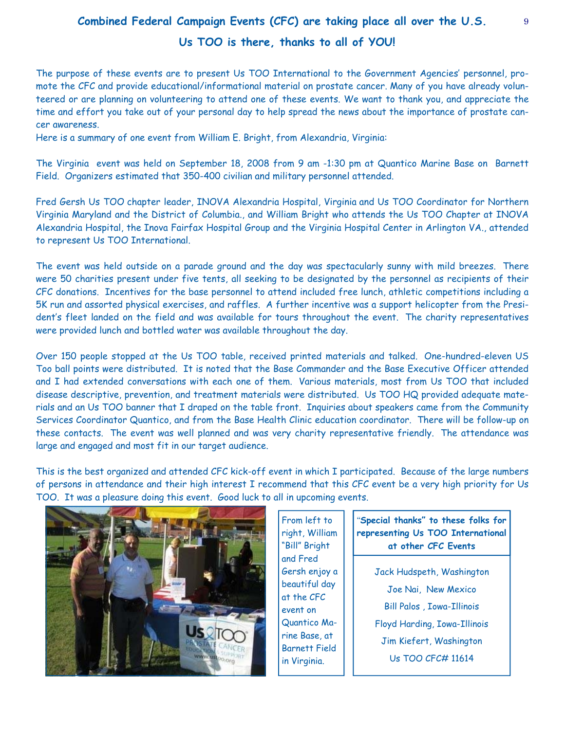# **Combined Federal Campaign Events (CFC) are taking place all over the U.S. Us TOO is there, thanks to all of YOU!**

The purpose of these events are to present Us TOO International to the Government Agencies' personnel, promote the CFC and provide educational/informational material on prostate cancer. Many of you have already volunteered or are planning on volunteering to attend one of these events. We want to thank you, and appreciate the time and effort you take out of your personal day to help spread the news about the importance of prostate cancer awareness.

Here is a summary of one event from William E. Bright, from Alexandria, Virginia:

The Virginia event was held on September 18, 2008 from 9 am -1:30 pm at Quantico Marine Base on Barnett Field. Organizers estimated that 350-400 civilian and military personnel attended.

Fred Gersh Us TOO chapter leader, INOVA Alexandria Hospital, Virginia and Us TOO Coordinator for Northern Virginia Maryland and the District of Columbia., and William Bright who attends the Us TOO Chapter at INOVA Alexandria Hospital, the Inova Fairfax Hospital Group and the Virginia Hospital Center in Arlington VA., attended to represent Us TOO International.

The event was held outside on a parade ground and the day was spectacularly sunny with mild breezes. There were 50 charities present under five tents, all seeking to be designated by the personnel as recipients of their CFC donations. Incentives for the base personnel to attend included free lunch, athletic competitions including a 5K run and assorted physical exercises, and raffles. A further incentive was a support helicopter from the President's fleet landed on the field and was available for tours throughout the event. The charity representatives were provided lunch and bottled water was available throughout the day.

Over 150 people stopped at the Us TOO table, received printed materials and talked. One-hundred-eleven US Too ball points were distributed. It is noted that the Base Commander and the Base Executive Officer attended and I had extended conversations with each one of them. Various materials, most from Us TOO that included disease descriptive, prevention, and treatment materials were distributed. Us TOO HQ provided adequate materials and an Us TOO banner that I draped on the table front. Inquiries about speakers came from the Community Services Coordinator Quantico, and from the Base Health Clinic education coordinator. There will be follow-up on these contacts. The event was well planned and was very charity representative friendly. The attendance was large and engaged and most fit in our target audience.

This is the best organized and attended CFC kick-off event in which I participated. Because of the large numbers of persons in attendance and their high interest I recommend that this CFC event be a very high priority for Us TOO. It was a pleasure doing this event. Good luck to all in upcoming events.



From left to right, William "Bill" Bright and Fred Gersh enjoy a beautiful day at the CFC event on Quantico Marine Base, at Barnett Field in Virginia.

#### "**Special thanks" to these folks for representing Us TOO International at other CFC Events**

Jack Hudspeth, Washington Joe Nai, New Mexico Bill Palos , Iowa-Illinois Floyd Harding, Iowa-Illinois Jim Kiefert, Washington Us TOO CFC# 11614